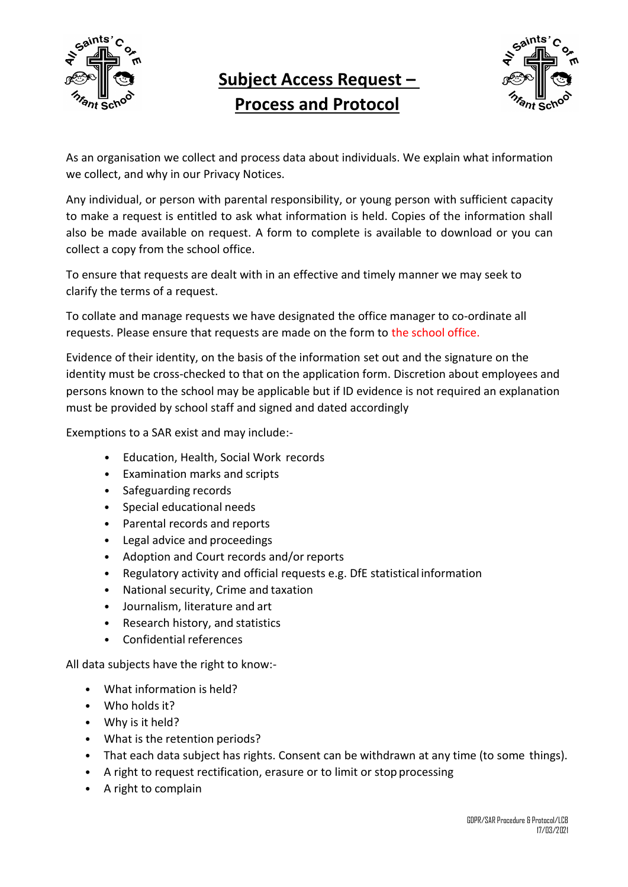

## **Subject Access Request – Process and Protocol**



As an organisation we collect and process data about individuals. We explain what information we collect, and why in our Privacy Notices.

Any individual, or person with parental responsibility, or young person with sufficient capacity to make a request is entitled to ask what information is held. Copies of the information shall also be made available on request. A form to complete is available to download or you can collect a copy from the school office.

To ensure that requests are dealt with in an effective and timely manner we may seek to clarify the terms of a request.

To collate and manage requests we have designated the office manager to co-ordinate all requests. Please ensure that requests are made on the form to the school office.

Evidence of their identity, on the basis of the information set out and the signature on the identity must be cross-checked to that on the application form. Discretion about employees and persons known to the school may be applicable but if ID evidence is not required an explanation must be provided by school staff and signed and dated accordingly

Exemptions to a SAR exist and may include:-

- Education, Health, Social Work records
- Examination marks and scripts
- Safeguarding records
- Special educational needs
- Parental records and reports
- Legal advice and proceedings
- Adoption and Court records and/or reports
- Regulatory activity and official requests e.g. DfE statistical information
- National security, Crime and taxation
- Journalism, literature and art
- Research history, and statistics
- Confidential references

All data subjects have the right to know:-

- What information is held?
- Who holds it?
- Why is it held?
- What is the retention periods?
- That each data subject has rights. Consent can be withdrawn at any time (to some things).
- A right to request rectification, erasure or to limit or stop processing
- A right to complain